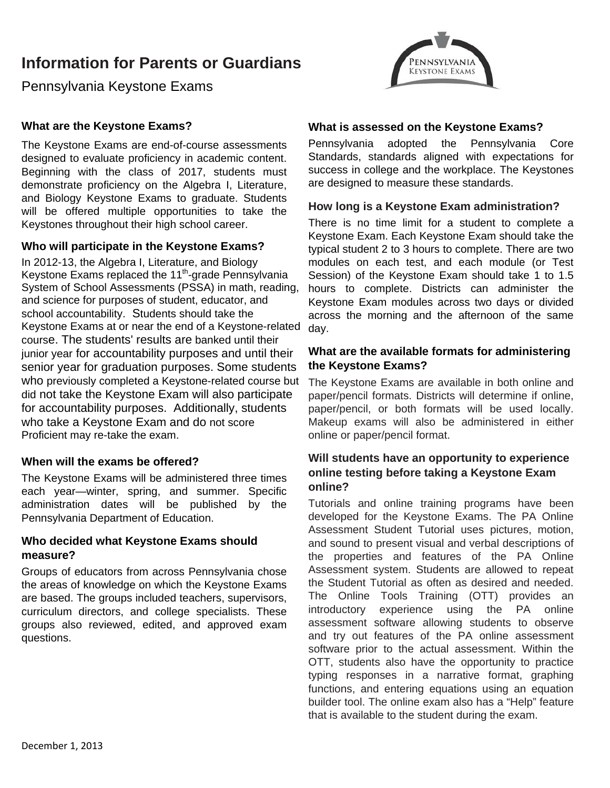# **Information for Parents or Guardians**



Pennsylvania Keystone Exams

## **What are the Keystone Exams?**

The Keystone Exams are end-of-course assessments designed to evaluate proficiency in academic content. Beginning with the class of 2017, students must demonstrate proficiency on the Algebra I, Literature, and Biology Keystone Exams to graduate. Students will be offered multiple opportunities to take the Keystones throughout their high school career.

#### **Who will participate in the Keystone Exams?**

In 2012-13, the Algebra I, Literature, and Biology Keystone Exams replaced the 11<sup>th</sup>-grade Pennsylvania System of School Assessments (PSSA) in math, reading, and science for purposes of student, educator, and school accountability. Students should take the Keystone Exams at or near the end of a Keystone-related course. The students' results are banked until their junior year for accountability purposes and until their senior year for graduation purposes. Some students who previously completed a Keystone-related course but did not take the Keystone Exam will also participate for accountability purposes. Additionally, students who take a Keystone Exam and do not score Proficient may re-take the exam.

#### **When will the exams be offered?**

The Keystone Exams will be administered three times each year—winter, spring, and summer. Specific administration dates will be published by the Pennsylvania Department of Education.

#### **Who decided what Keystone Exams should measure?**

Groups of educators from across Pennsylvania chose the areas of knowledge on which the Keystone Exams are based. The groups included teachers, supervisors, curriculum directors, and college specialists. These groups also reviewed, edited, and approved exam questions.

#### **What is assessed on the Keystone Exams?**

Pennsylvania adopted the Pennsylvania Core Standards, standards aligned with expectations for success in college and the workplace. The Keystones are designed to measure these standards.

#### **How long is a Keystone Exam administration?**

There is no time limit for a student to complete a Keystone Exam. Each Keystone Exam should take the typical student 2 to 3 hours to complete. There are two modules on each test, and each module (or Test Session) of the Keystone Exam should take 1 to 1.5 hours to complete. Districts can administer the Keystone Exam modules across two days or divided across the morning and the afternoon of the same day.

## **What are the available formats for administering the Keystone Exams?**

The Keystone Exams are available in both online and paper/pencil formats. Districts will determine if online, paper/pencil, or both formats will be used locally. Makeup exams will also be administered in either online or paper/pencil format.

# **Will students have an opportunity to experience online testing before taking a Keystone Exam online?**

Tutorials and online training programs have been developed for the Keystone Exams. The PA Online Assessment Student Tutorial uses pictures, motion, and sound to present visual and verbal descriptions of the properties and features of the PA Online Assessment system. Students are allowed to repeat the Student Tutorial as often as desired and needed. The Online Tools Training (OTT) provides an introductory experience using the PA online assessment software allowing students to observe and try out features of the PA online assessment software prior to the actual assessment. Within the OTT, students also have the opportunity to practice typing responses in a narrative format, graphing functions, and entering equations using an equation builder tool. The online exam also has a "Help" feature that is available to the student during the exam.